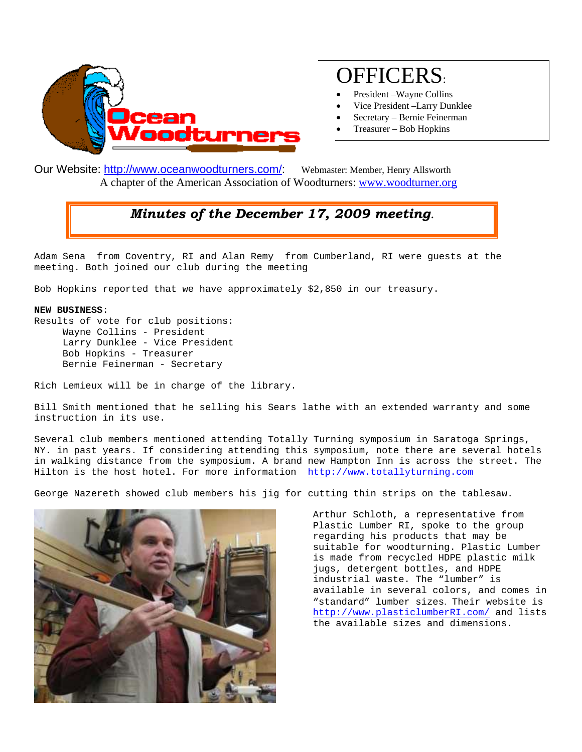

## OFFICERS:

- President –Wayne Collins
- Vice President –Larry Dunklee
- Secretary Bernie Feinerman
- Treasurer Bob Hopkins

Our Website: [http://www.oceanwoodturners.com/:](http://oceanwoodturners.com/) Webmaster: Member, Henry Allsworth A chapter of the American Association of Woodturners: [www.woodturner.org](http://www.woodturner.org/) 

## *Minutes of the December 17, 2009 meeting.*

Adam Sena from Coventry, RI and Alan Remy from Cumberland, RI were guests at the meeting. Both joined our club during the meeting

Bob Hopkins reported that we have approximately \$2,850 in our treasury.

## **NEW BUSINESS**:

Results of vote for club positions: Wayne Collins - President Larry Dunklee - Vice President Bob Hopkins - Treasurer Bernie Feinerman - Secretary

Rich Lemieux will be in charge of the library.

Bill Smith mentioned that he selling his Sears lathe with an extended warranty and some instruction in its use.

Several club members mentioned attending Totally Turning symposium in Saratoga Springs, NY. in past years. If considering attending this symposium, note there are several hotels in walking distance from the symposium. A brand new Hampton Inn is across the street. The Hilton is the host hotel. For more information [http://www.totallyturning.com](http://www.totallyturning.com/) 

George Nazereth showed club members his jig for cutting thin strips on the tablesaw.



Arthur Schloth, a representative from Plastic Lumber RI, spoke to the group regarding his products that may be suitable for woodturning. Plastic Lumber is made from recycled HDPE plastic milk jugs, detergent bottles, and HDPE industrial waste. The "lumber" is available in several colors, and comes in "standard" lumber sizes. Their website is [http://www.plasticlumberRI.com/](http://www.plasticlumberri.com/) and lists the available sizes and dimensions.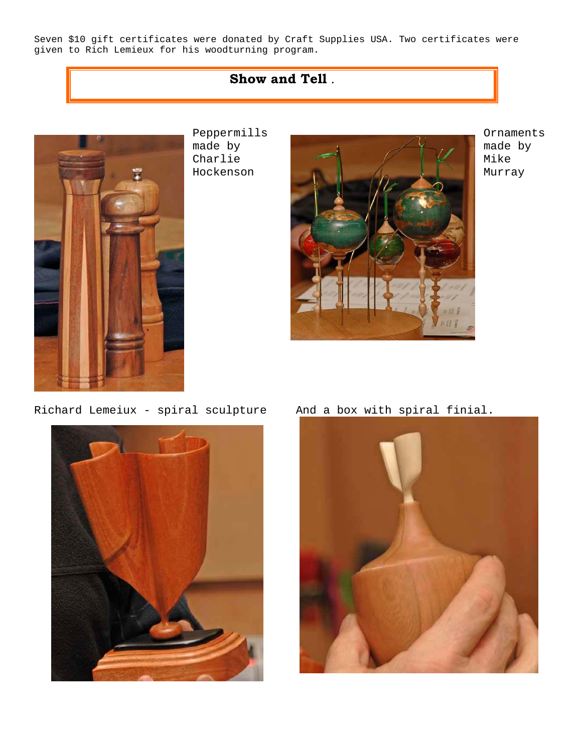Seven \$10 gift certificates were donated by Craft Supplies USA. Two certificates were given to Rich Lemieux for his woodturning program.

## **Show and Tell** *.*



Peppermills made by Charlie Hockenson



Ornaments made by Mike Murray

Richard Lemeiux - spiral sculpture And a box with spiral finial.



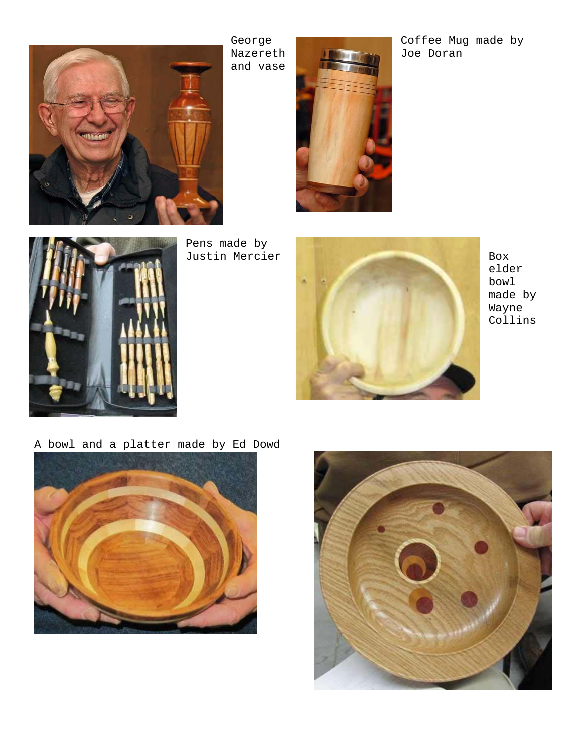

George Nazereth and vase



Coffee Mug made by Joe Doran



Pens made by



elder bowl made by Wayne Collins

A bowl and a platter made by Ed Dowd



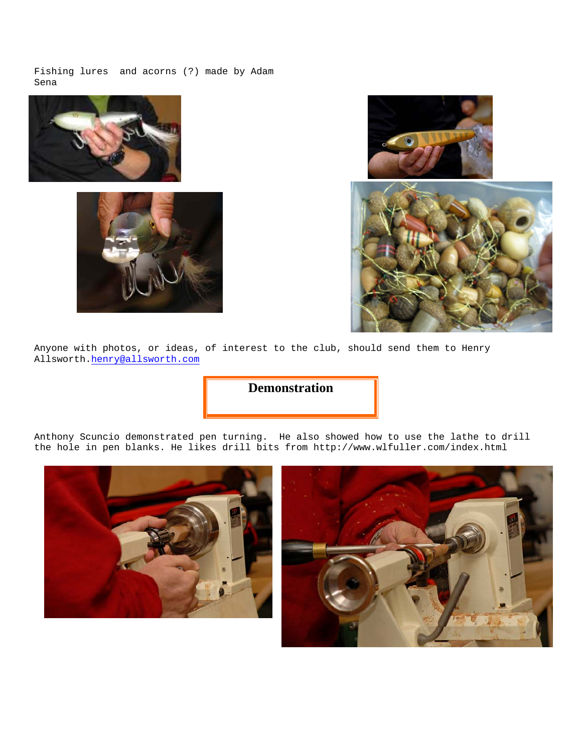Fishing lures and acorns (?) made by Adam Sena







Anyone with photos, or ideas, of interest to the club, should send them to Henry Allsworth[.henry@allsworth.com](mailto:henry@allsworth.com)

**Demonstration**

Anthony Scuncio demonstrated pen turning. He also showed how to use the lathe to drill the hole in pen blanks. He likes drill bits from http://www.wlfuller.com/index.html